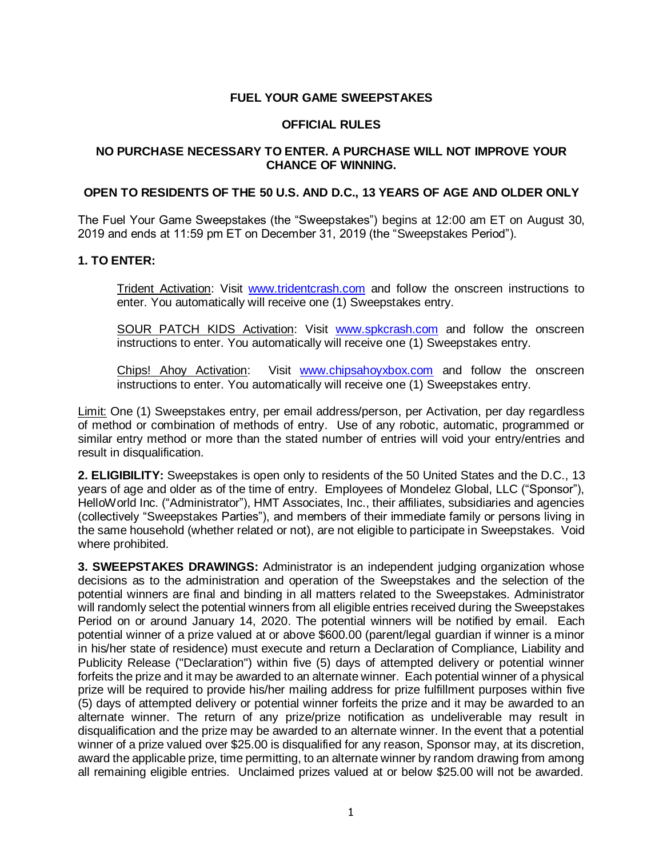# **FUEL YOUR GAME SWEEPSTAKES**

## **OFFICIAL RULES**

## **NO PURCHASE NECESSARY TO ENTER. A PURCHASE WILL NOT IMPROVE YOUR CHANCE OF WINNING.**

## **OPEN TO RESIDENTS OF THE 50 U.S. AND D.C., 13 YEARS OF AGE AND OLDER ONLY**

The Fuel Your Game Sweepstakes (the "Sweepstakes") begins at 12:00 am ET on August 30, 2019 and ends at 11:59 pm ET on December 31, 2019 (the "Sweepstakes Period").

# **1. TO ENTER:**

Trident Activation: Visit [www.tridentcrash.com](http://www.tridentcrash.com/) and follow the onscreen instructions to enter. You automatically will receive one (1) Sweepstakes entry.

SOUR PATCH KIDS Activation: Visit [www.spkcrash.com](http://www.spkcrash.com/) and follow the onscreen instructions to enter. You automatically will receive one (1) Sweepstakes entry.

Chips! Ahoy Activation: Visit [www.chipsahoyxbox.com](http://www.chipsahoyxbox.com/) and follow the onscreen instructions to enter. You automatically will receive one (1) Sweepstakes entry.

Limit: One (1) Sweepstakes entry, per email address/person, per Activation, per day regardless of method or combination of methods of entry. Use of any robotic, automatic, programmed or similar entry method or more than the stated number of entries will void your entry/entries and result in disqualification.

**2. ELIGIBILITY:** Sweepstakes is open only to residents of the 50 United States and the D.C., 13 years of age and older as of the time of entry. Employees of Mondelez Global, LLC ("Sponsor"), HelloWorld Inc. ("Administrator"), HMT Associates, Inc., their affiliates, subsidiaries and agencies (collectively "Sweepstakes Parties"), and members of their immediate family or persons living in the same household (whether related or not), are not eligible to participate in Sweepstakes. Void where prohibited.

**3. SWEEPSTAKES DRAWINGS:** Administrator is an independent judging organization whose decisions as to the administration and operation of the Sweepstakes and the selection of the potential winners are final and binding in all matters related to the Sweepstakes. Administrator will randomly select the potential winners from all eligible entries received during the Sweepstakes Period on or around January 14, 2020. The potential winners will be notified by email. Each potential winner of a prize valued at or above \$600.00 (parent/legal guardian if winner is a minor in his/her state of residence) must execute and return a Declaration of Compliance, Liability and Publicity Release ("Declaration") within five (5) days of attempted delivery or potential winner forfeits the prize and it may be awarded to an alternate winner. Each potential winner of a physical prize will be required to provide his/her mailing address for prize fulfillment purposes within five (5) days of attempted delivery or potential winner forfeits the prize and it may be awarded to an alternate winner. The return of any prize/prize notification as undeliverable may result in disqualification and the prize may be awarded to an alternate winner. In the event that a potential winner of a prize valued over \$25.00 is disqualified for any reason, Sponsor may, at its discretion, award the applicable prize, time permitting, to an alternate winner by random drawing from among all remaining eligible entries. Unclaimed prizes valued at or below \$25.00 will not be awarded.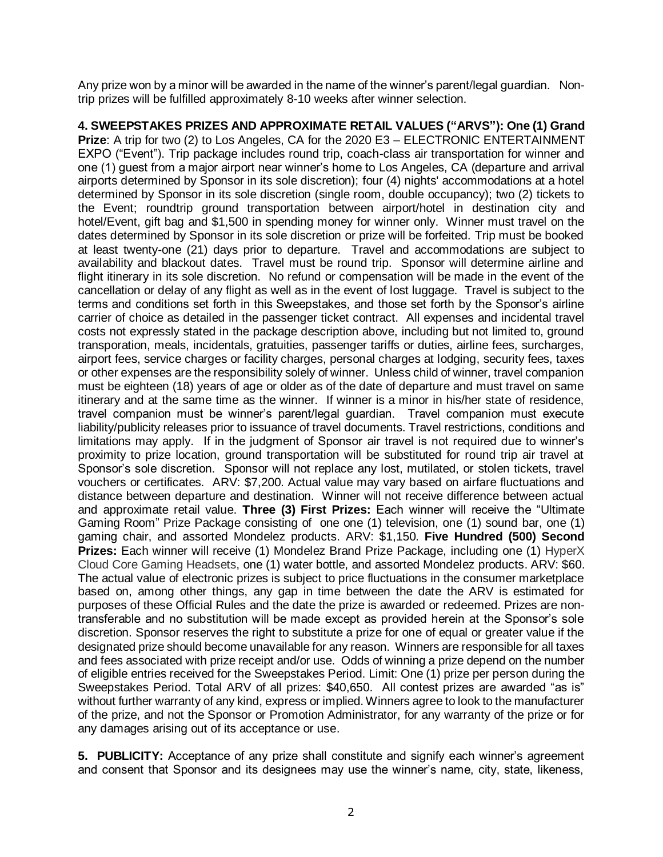Any prize won by a minor will be awarded in the name of the winner's parent/legal guardian. Nontrip prizes will be fulfilled approximately 8-10 weeks after winner selection.

**4. SWEEPSTAKES PRIZES AND APPROXIMATE RETAIL VALUES ("ARVS"): One (1) Grand Prize**: A trip for two (2) to Los Angeles, CA for the 2020 E3 – ELECTRONIC ENTERTAINMENT EXPO ("Event"). Trip package includes round trip, coach-class air transportation for winner and one (1) guest from a major airport near winner's home to Los Angeles, CA (departure and arrival airports determined by Sponsor in its sole discretion); four (4) nights' accommodations at a hotel determined by Sponsor in its sole discretion (single room, double occupancy); two (2) tickets to the Event; roundtrip ground transportation between airport/hotel in destination city and hotel/Event, gift bag and \$1,500 in spending money for winner only. Winner must travel on the dates determined by Sponsor in its sole discretion or prize will be forfeited. Trip must be booked at least twenty-one (21) days prior to departure. Travel and accommodations are subject to availability and blackout dates. Travel must be round trip. Sponsor will determine airline and flight itinerary in its sole discretion. No refund or compensation will be made in the event of the cancellation or delay of any flight as well as in the event of lost luggage. Travel is subject to the terms and conditions set forth in this Sweepstakes, and those set forth by the Sponsor's airline carrier of choice as detailed in the passenger ticket contract. All expenses and incidental travel costs not expressly stated in the package description above, including but not limited to, ground transporation, meals, incidentals, gratuities, passenger tariffs or duties, airline fees, surcharges, airport fees, service charges or facility charges, personal charges at lodging, security fees, taxes or other expenses are the responsibility solely of winner. Unless child of winner, travel companion must be eighteen (18) years of age or older as of the date of departure and must travel on same itinerary and at the same time as the winner. If winner is a minor in his/her state of residence, travel companion must be winner's parent/legal guardian. Travel companion must execute liability/publicity releases prior to issuance of travel documents. Travel restrictions, conditions and limitations may apply. If in the judgment of Sponsor air travel is not required due to winner's proximity to prize location, ground transportation will be substituted for round trip air travel at Sponsor's sole discretion. Sponsor will not replace any lost, mutilated, or stolen tickets, travel vouchers or certificates. ARV: \$7,200. Actual value may vary based on airfare fluctuations and distance between departure and destination. Winner will not receive difference between actual and approximate retail value. **Three (3) First Prizes:** Each winner will receive the "Ultimate Gaming Room" Prize Package consisting of one one (1) television, one (1) sound bar, one (1) gaming chair, and assorted Mondelez products. ARV: \$1,150. **Five Hundred (500) Second Prizes:** Each winner will receive (1) Mondelez Brand Prize Package, including one (1) HyperX Cloud Core Gaming Headsets, one (1) water bottle, and assorted Mondelez products. ARV: \$60. The actual value of electronic prizes is subject to price fluctuations in the consumer marketplace based on, among other things, any gap in time between the date the ARV is estimated for purposes of these Official Rules and the date the prize is awarded or redeemed. Prizes are nontransferable and no substitution will be made except as provided herein at the Sponsor's sole discretion. Sponsor reserves the right to substitute a prize for one of equal or greater value if the designated prize should become unavailable for any reason. Winners are responsible for all taxes and fees associated with prize receipt and/or use. Odds of winning a prize depend on the number of eligible entries received for the Sweepstakes Period. Limit: One (1) prize per person during the Sweepstakes Period. Total ARV of all prizes: \$40,650. All contest prizes are awarded "as is" without further warranty of any kind, express or implied. Winners agree to look to the manufacturer of the prize, and not the Sponsor or Promotion Administrator, for any warranty of the prize or for any damages arising out of its acceptance or use.

**5. PUBLICITY:** Acceptance of any prize shall constitute and signify each winner's agreement and consent that Sponsor and its designees may use the winner's name, city, state, likeness,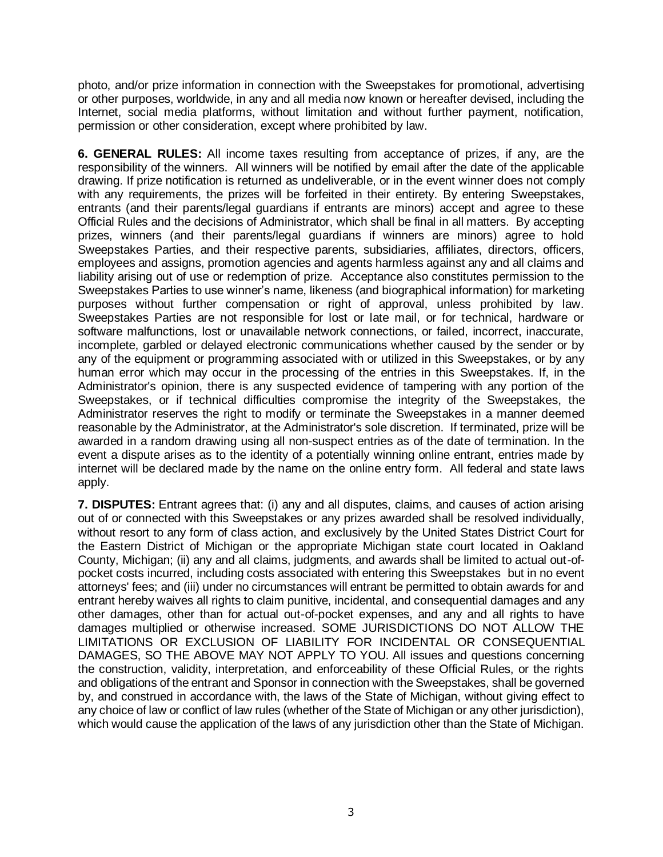photo, and/or prize information in connection with the Sweepstakes for promotional, advertising or other purposes, worldwide, in any and all media now known or hereafter devised, including the Internet, social media platforms, without limitation and without further payment, notification, permission or other consideration, except where prohibited by law.

**6. GENERAL RULES:** All income taxes resulting from acceptance of prizes, if any, are the responsibility of the winners. All winners will be notified by email after the date of the applicable drawing. If prize notification is returned as undeliverable, or in the event winner does not comply with any requirements, the prizes will be forfeited in their entirety. By entering Sweepstakes, entrants (and their parents/legal guardians if entrants are minors) accept and agree to these Official Rules and the decisions of Administrator, which shall be final in all matters. By accepting prizes, winners (and their parents/legal guardians if winners are minors) agree to hold Sweepstakes Parties, and their respective parents, subsidiaries, affiliates, directors, officers, employees and assigns, promotion agencies and agents harmless against any and all claims and liability arising out of use or redemption of prize. Acceptance also constitutes permission to the Sweepstakes Parties to use winner's name, likeness (and biographical information) for marketing purposes without further compensation or right of approval, unless prohibited by law. Sweepstakes Parties are not responsible for lost or late mail, or for technical, hardware or software malfunctions, lost or unavailable network connections, or failed, incorrect, inaccurate, incomplete, garbled or delayed electronic communications whether caused by the sender or by any of the equipment or programming associated with or utilized in this Sweepstakes, or by any human error which may occur in the processing of the entries in this Sweepstakes. If, in the Administrator's opinion, there is any suspected evidence of tampering with any portion of the Sweepstakes, or if technical difficulties compromise the integrity of the Sweepstakes, the Administrator reserves the right to modify or terminate the Sweepstakes in a manner deemed reasonable by the Administrator, at the Administrator's sole discretion. If terminated, prize will be awarded in a random drawing using all non-suspect entries as of the date of termination. In the event a dispute arises as to the identity of a potentially winning online entrant, entries made by internet will be declared made by the name on the online entry form. All federal and state laws apply.

**7. DISPUTES:** Entrant agrees that: (i) any and all disputes, claims, and causes of action arising out of or connected with this Sweepstakes or any prizes awarded shall be resolved individually, without resort to any form of class action, and exclusively by the United States District Court for the Eastern District of Michigan or the appropriate Michigan state court located in Oakland County, Michigan; (ii) any and all claims, judgments, and awards shall be limited to actual out-ofpocket costs incurred, including costs associated with entering this Sweepstakes but in no event attorneys' fees; and (iii) under no circumstances will entrant be permitted to obtain awards for and entrant hereby waives all rights to claim punitive, incidental, and consequential damages and any other damages, other than for actual out-of-pocket expenses, and any and all rights to have damages multiplied or otherwise increased. SOME JURISDICTIONS DO NOT ALLOW THE LIMITATIONS OR EXCLUSION OF LIABILITY FOR INCIDENTAL OR CONSEQUENTIAL DAMAGES, SO THE ABOVE MAY NOT APPLY TO YOU. All issues and questions concerning the construction, validity, interpretation, and enforceability of these Official Rules, or the rights and obligations of the entrant and Sponsor in connection with the Sweepstakes, shall be governed by, and construed in accordance with, the laws of the State of Michigan, without giving effect to any choice of law or conflict of law rules (whether of the State of Michigan or any other jurisdiction), which would cause the application of the laws of any jurisdiction other than the State of Michigan.